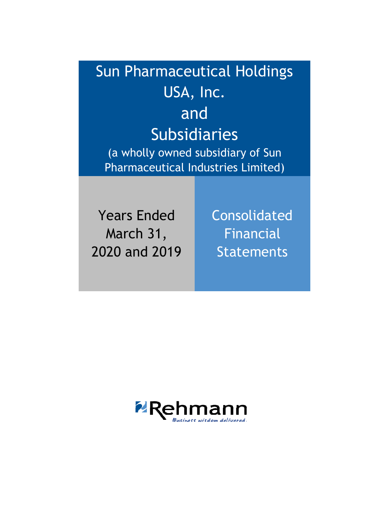Sun Pharmaceutical Holdings USA, Inc. and Subsidiaries (a wholly owned subsidiary of Sun Pharmaceutical Industries Limited)

Years Ended March 31, 2020 and 2019 Consolidated Financial **Statements** 

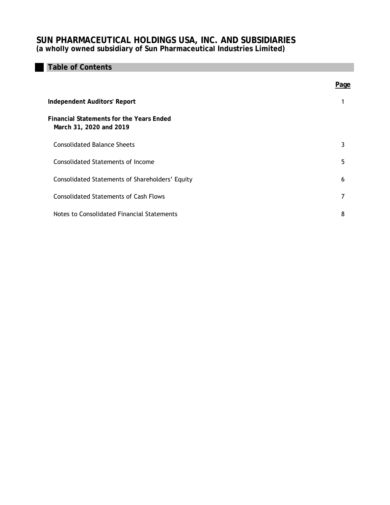# **Table of Contents**

|                                                                            | Page |
|----------------------------------------------------------------------------|------|
| <b>Independent Auditors' Report</b>                                        |      |
| <b>Financial Statements for the Years Ended</b><br>March 31, 2020 and 2019 |      |
| <b>Consolidated Balance Sheets</b>                                         | 3    |
| <b>Consolidated Statements of Income</b>                                   | 5    |
| Consolidated Statements of Shareholders' Equity                            | 6    |
| <b>Consolidated Statements of Cash Flows</b>                               | 7    |
| Notes to Consolidated Financial Statements                                 | 8    |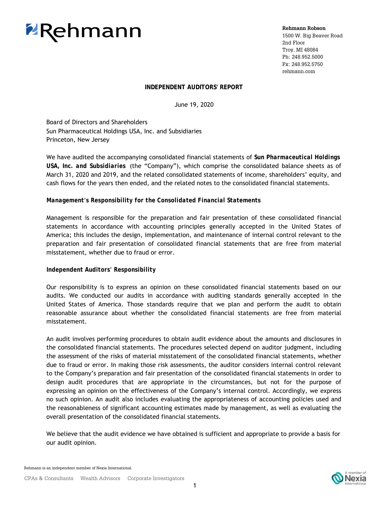# **ZRehmann**

**Rehmann Robson**

1500 W. Big Beaver Road 2nd Floor Troy, MI 48084 Ph: 248.952.5000 Fx: 248.952.5750 rehmann.com

# **INDEPENDENT AUDITORS' REPORT**

June 19, 2020

sun Fharmaceuticat no<br>Princeton, New Jersey Board of Directors and Shareholders Sun Pharmaceutical Holdings USA, Inc. and Subsidiaries

We have audited the accompanying consolidated financial statements of *Sun Pharmaceutical Holdings USA, Inc. and Subsidiaries* (the "Company"), which comprise the consolidated balance sheets as of March 31, 2020 and 2019, and the related consolidated statements of income, shareholders' equity, and cash flows for the years then ended, and the related notes to the consolidated financial statements.

# *Management's Responsibility for the Consolidated Financial Statements*

Management is responsible for the preparation and fair presentation of these consolidated financial statements in accordance with accounting principles generally accepted in the United States of America; this includes the design, implementation, and maintenance of internal control relevant to the preparation and fair presentation of consolidated financial statements that are free from material misstatement, whether due to fraud or error.

# *Independent Auditors' Responsibility*

Our responsibility is to express an opinion on these consolidated financial statements based on our audits. We conducted our audits in accordance with auditing standards generally accepted in the United States of America. Those standards require that we plan and perform the audit to obtain reasonable assurance about whether the consolidated financial statements are free from material misstatement.

An audit involves performing procedures to obtain audit evidence about the amounts and disclosures in the consolidated financial statements. The procedures selected depend on auditor judgment, including the assessment of the risks of material misstatement of the consolidated financial statements, whether due to fraud or error. In making those risk assessments, the auditor considers internal control relevant to the Company's preparation and fair presentation of the consolidated financial statements in order to design audit procedures that are appropriate in the circumstances, but not for the purpose of expressing an opinion on the effectiveness of the Company's internal control. Accordingly, we express no such opinion. An audit also includes evaluating the appropriateness of accounting policies used and the reasonableness of significant accounting estimates made by management, as well as evaluating the overall presentation of the consolidated financial statements.

We believe that the audit evidence we have obtained is sufficient and appropriate to provide a basis for our audit opinion.

Rehmann is an independent member of Nexia International.

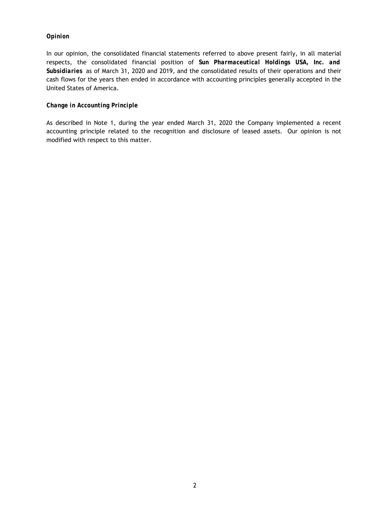# *Opinion*

In our opinion, the consolidated financial statements referred to above present fairly, in all material respects, the consolidated financial position of *Sun Pharmaceutical Holdings USA, Inc. and Subsidiaries* as of March 31, 2020 and 2019, and the consolidated results of their operations and their cash flows for the years then ended in accordance with accounting principles generally accepted in the United States of America.

# *Change in Accounting Principle*

As described in Note 1, during the year ended March 31, 2020 the Company implemented a recent accounting principle related to the recognition and disclosure of leased assets. Our opinion is not modified with respect to this matter.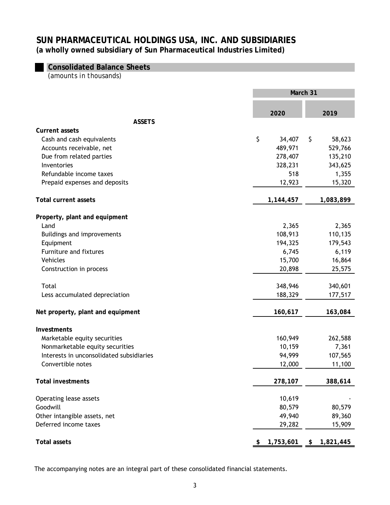# **Consolidated Balance Sheets**

*(amounts in thousands)* 

|                                                       | March 31 |                   |    |                   |
|-------------------------------------------------------|----------|-------------------|----|-------------------|
|                                                       |          | 2020              |    | 2019              |
| <b>ASSETS</b>                                         |          |                   |    |                   |
| <b>Current assets</b>                                 | \$       |                   |    |                   |
| Cash and cash equivalents<br>Accounts receivable, net |          | 34,407<br>489,971 | \$ | 58,623<br>529,766 |
| Due from related parties                              |          | 278,407           |    | 135,210           |
| Inventories                                           |          | 328,231           |    | 343,625           |
| Refundable income taxes                               |          | 518               |    | 1,355             |
| Prepaid expenses and deposits                         |          | 12,923            |    | 15,320            |
|                                                       |          |                   |    |                   |
| <b>Total current assets</b>                           |          | 1,144,457         |    | 1,083,899         |
| Property, plant and equipment                         |          |                   |    |                   |
| Land                                                  |          | 2,365             |    | 2,365             |
| Buildings and improvements                            |          | 108,913           |    | 110,135           |
| Equipment                                             |          | 194,325           |    | 179,543           |
| Furniture and fixtures                                |          | 6,745             |    | 6,119             |
| Vehicles                                              |          | 15,700            |    | 16,864            |
| Construction in process                               |          | 20,898            |    | 25,575            |
| Total                                                 |          | 348,946           |    | 340,601           |
| Less accumulated depreciation                         |          | 188,329           |    | 177,517           |
| Net property, plant and equipment                     |          | 160,617           |    | 163,084           |
| Investments                                           |          |                   |    |                   |
| Marketable equity securities                          |          | 160,949           |    | 262,588           |
| Nonmarketable equity securities                       |          | 10,159            |    | 7,361             |
| Interests in unconsolidated subsidiaries              |          | 94,999            |    | 107,565           |
| Convertible notes                                     |          | 12,000            |    | 11,100            |
| <b>Total investments</b>                              |          | 278,107           |    | 388,614           |
| Operating lease assets                                |          | 10,619            |    |                   |
| Goodwill                                              |          | 80,579            |    | 80,579            |
| Other intangible assets, net                          |          | 49,940            |    | 89,360            |
| Deferred income taxes                                 |          | 29,282            |    | 15,909            |
| <b>Total assets</b>                                   | \$       | 1,753,601         | \$ | 1,821,445         |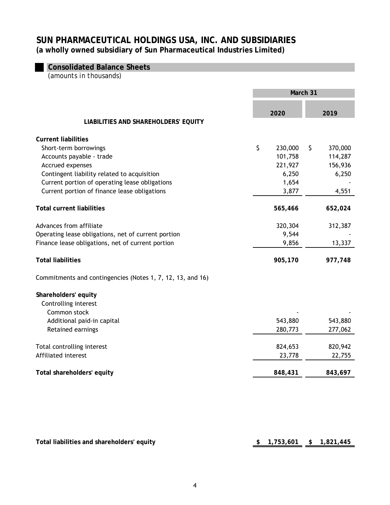# **Consolidated Balance Sheets**

*(amounts in thousands)* 

|                                                            | March 31 |         |    |         |  |
|------------------------------------------------------------|----------|---------|----|---------|--|
|                                                            |          | 2020    |    | 2019    |  |
| <b>LIABILITIES AND SHAREHOLDERS' EQUITY</b>                |          |         |    |         |  |
| <b>Current liabilities</b>                                 |          |         |    |         |  |
| Short-term borrowings                                      | \$       | 230,000 | \$ | 370,000 |  |
| Accounts payable - trade                                   |          | 101,758 |    | 114,287 |  |
| Accrued expenses                                           |          | 221,927 |    | 156,936 |  |
| Contingent liability related to acquisition                |          | 6,250   |    | 6,250   |  |
| Current portion of operating lease obligations             |          | 1,654   |    |         |  |
| Current portion of finance lease obligations               |          | 3,877   |    | 4,551   |  |
| <b>Total current liabilities</b>                           |          | 565,466 |    | 652,024 |  |
|                                                            |          |         |    |         |  |
| Advances from affiliate                                    |          | 320,304 |    | 312,387 |  |
| Operating lease obligations, net of current portion        |          | 9,544   |    |         |  |
| Finance lease obligations, net of current portion          |          | 9,856   |    | 13,337  |  |
| <b>Total liabilities</b>                                   |          | 905,170 |    | 977,748 |  |
| Commitments and contingencies (Notes 1, 7, 12, 13, and 16) |          |         |    |         |  |
| Shareholders' equity                                       |          |         |    |         |  |
| Controlling interest                                       |          |         |    |         |  |
| Common stock                                               |          |         |    |         |  |
| Additional paid-in capital                                 |          | 543,880 |    | 543,880 |  |
| Retained earnings                                          |          | 280,773 |    | 277,062 |  |
| Total controlling interest                                 |          | 824,653 |    | 820,942 |  |
| Affiliated interest                                        |          | 23,778  |    | 22,755  |  |
|                                                            |          |         |    |         |  |
| Total shareholders' equity                                 |          | 848,431 |    | 843,697 |  |
|                                                            |          |         |    |         |  |

Total liabilities and shareholders' equity **be a set of the set of the set of the set of the set of the set of the set of the set of the set of the set of the set of the set of the set of the set of the set of the set of t**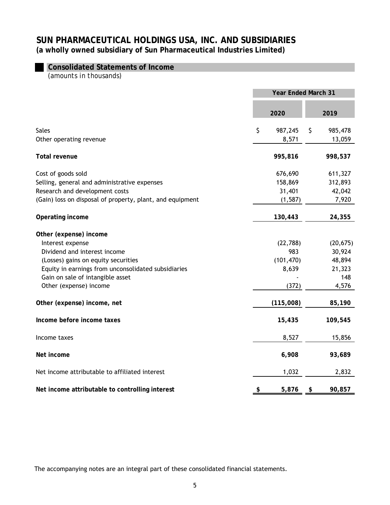# **Consolidated Statements of Income**

*(amounts in thousands)* 

|                                                                                                                                                                                                                                        | <b>Year Ended March 31</b>                       |    |                                                         |  |
|----------------------------------------------------------------------------------------------------------------------------------------------------------------------------------------------------------------------------------------|--------------------------------------------------|----|---------------------------------------------------------|--|
|                                                                                                                                                                                                                                        | 2020                                             |    | 2019                                                    |  |
| <b>Sales</b><br>Other operating revenue                                                                                                                                                                                                | \$<br>987,245<br>8,571                           | \$ | 985,478<br>13,059                                       |  |
| <b>Total revenue</b>                                                                                                                                                                                                                   | 995,816                                          |    | 998,537                                                 |  |
| Cost of goods sold<br>Selling, general and administrative expenses<br>Research and development costs<br>(Gain) loss on disposal of property, plant, and equipment                                                                      | 676,690<br>158,869<br>31,401<br>(1, 587)         |    | 611,327<br>312,893<br>42,042<br>7,920                   |  |
| Operating income                                                                                                                                                                                                                       | 130,443                                          |    | 24,355                                                  |  |
| Other (expense) income<br>Interest expense<br>Dividend and interest income<br>(Losses) gains on equity securities<br>Equity in earnings from unconsolidated subsidiaries<br>Gain on sale of intangible asset<br>Other (expense) income | (22, 788)<br>983<br>(101, 470)<br>8,639<br>(372) |    | (20, 675)<br>30,924<br>48,894<br>21,323<br>148<br>4,576 |  |
| Other (expense) income, net                                                                                                                                                                                                            | (115,008)                                        |    | 85,190                                                  |  |
| Income before income taxes                                                                                                                                                                                                             | 15,435                                           |    | 109,545                                                 |  |
| Income taxes                                                                                                                                                                                                                           | 8,527                                            |    | 15,856                                                  |  |
| Net income                                                                                                                                                                                                                             | 6,908                                            |    | 93,689                                                  |  |
| Net income attributable to affiliated interest                                                                                                                                                                                         | 1,032                                            |    | 2,832                                                   |  |
| Net income attributable to controlling interest                                                                                                                                                                                        | \$<br>5,876                                      | \$ | 90,857                                                  |  |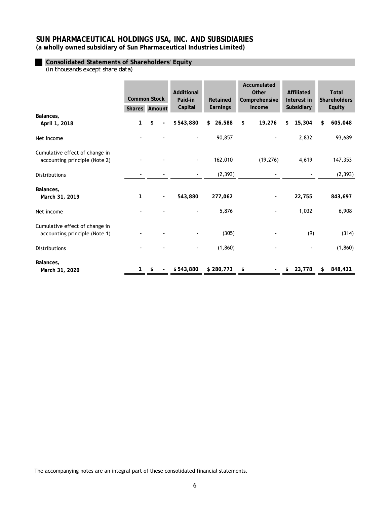# **Consolidated Statements of Shareholders' Equity**

*(in thousands except share data)* 

|                                                                 | Additional<br>Other<br><b>Common Stock</b><br>Paid-in<br>Retained |    | Accumulated<br>Comprehensive | <b>Affiliated</b><br>Interest in | <b>Total</b><br>Shareholders' |                                |              |               |
|-----------------------------------------------------------------|-------------------------------------------------------------------|----|------------------------------|----------------------------------|-------------------------------|--------------------------------|--------------|---------------|
|                                                                 | Shares Amount                                                     |    |                              | Capital                          | Earnings                      | Income                         | Subsidiary   | <b>Equity</b> |
| Balances,<br>April 1, 2018                                      | 1                                                                 | \$ |                              | \$543,880                        | 26,588<br>\$                  | 19,276<br>\$                   | 15,304<br>\$ | 605,048<br>\$ |
| Net income                                                      |                                                                   |    |                              |                                  | 90,857                        |                                | 2,832        | 93,689        |
| Cumulative effect of change in<br>accounting principle (Note 2) |                                                                   |    |                              |                                  | 162,010                       | (19, 276)                      | 4,619        | 147,353       |
| Distributions                                                   |                                                                   |    |                              |                                  | (2, 393)                      |                                |              | (2, 393)      |
| Balances,<br>March 31, 2019                                     | 1                                                                 |    | $\overline{\phantom{a}}$     | 543,880                          | 277,062                       |                                | 22,755       | 843,697       |
| Net income                                                      |                                                                   |    |                              |                                  | 5,876                         |                                | 1,032        | 6,908         |
| Cumulative effect of change in<br>accounting principle (Note 1) |                                                                   |    |                              |                                  | (305)                         |                                | (9)          | (314)         |
| Distributions                                                   |                                                                   |    |                              |                                  | (1, 860)                      |                                |              | (1, 860)      |
| Balances,<br>March 31, 2020                                     | 1                                                                 | \$ |                              | \$543,880                        | \$280,773                     | \$<br>$\overline{\phantom{0}}$ | 23,778<br>\$ | 848,431<br>\$ |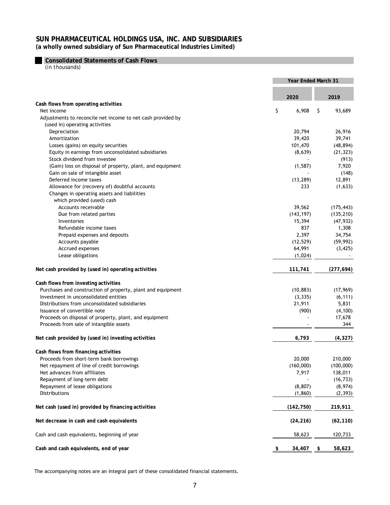**Consolidated Statements of Cash Flows**

*(in thousands)* 

|                                                             | Year Ended March 31 |            |            |            |
|-------------------------------------------------------------|---------------------|------------|------------|------------|
|                                                             |                     | 2020       |            | 2019       |
| Cash flows from operating activities                        |                     |            |            |            |
| Net income                                                  | \$                  | 6,908      | \$         | 93,689     |
| Adjustments to reconcile net income to net cash provided by |                     |            |            |            |
| (used in) operating activities                              |                     |            |            |            |
| Depreciation                                                |                     | 20,794     |            | 26,916     |
| Amortization                                                |                     | 39,420     |            | 39,741     |
| Losses (gains) on equity securities                         |                     | 101,470    |            | (48, 894)  |
| Equity in earnings from unconsolidated subsidiaries         |                     | (8,639)    |            | (21, 323)  |
| Stock dividend from investee                                |                     |            |            | (913)      |
| (Gain) loss on disposal of property, plant, and equipment   |                     | (1, 587)   |            | 7,920      |
| Gain on sale of intangible asset                            |                     |            |            | (148)      |
| Deferred income taxes                                       |                     | (13, 289)  |            | 12,891     |
| Allowance for (recovery of) doubtful accounts               |                     | 233        |            | (1,633)    |
| Changes in operating assets and liabilities                 |                     |            |            |            |
| which provided (used) cash                                  |                     |            |            |            |
| Accounts receivable                                         |                     | 39,562     |            | (175, 443) |
| Due from related parties                                    |                     | (143, 197) |            | (135, 210) |
| Inventories                                                 |                     | 15,394     |            | (47, 932)  |
| Refundable income taxes                                     |                     | 837        |            | 1,308      |
| Prepaid expenses and deposits                               |                     | 2,397      |            | 34,754     |
| Accounts payable                                            |                     | (12, 529)  |            | (59, 992)  |
| Accrued expenses                                            |                     | 64,991     |            | (3, 425)   |
| Lease obligations                                           |                     | (1,024)    |            |            |
| Net cash provided by (used in) operating activities         |                     | 111,741    |            | (277, 694) |
| Cash flows from investing activities                        |                     |            |            |            |
| Purchases and construction of property, plant and equipment |                     | (10, 883)  |            | (17, 969)  |
| Investment in unconsolidated entities                       |                     | (3, 335)   |            | (6, 111)   |
| Distributions from unconsolidated subsidiaries              |                     | 21,911     |            | 5,831      |
| Issuance of convertible note                                |                     | (900)      |            | (4, 100)   |
| Proceeds on disposal of property, plant, and equipment      |                     |            |            | 17,678     |
| Proceeds from sale of intangible assets                     |                     |            |            | 344        |
| Net cash provided by (used in) investing activities         |                     | 6,793      |            | (4, 327)   |
| Cash flows from financing activities                        |                     |            |            |            |
| Proceeds from short-term bank borrowings                    |                     | 20,000     |            | 210,000    |
| Net repayment of line of credit borrowings                  |                     | (160,000)  |            | (100,000)  |
| Net advances from affiliates                                |                     | 7,917      |            | 138,011    |
| Repayment of long-term debt                                 |                     |            |            | (16, 733)  |
| Repayment of lease obligations                              |                     | (8, 807)   |            | (8,974)    |
| Distributions                                               |                     | (1, 860)   |            | (2, 393)   |
| Net cash (used in) provided by financing activities         |                     | (142, 750) |            | 219,911    |
| Net decrease in cash and cash equivalents                   |                     | (24, 216)  |            | (62, 110)  |
| Cash and cash equivalents, beginning of year                |                     | 58,623     |            | 120,733    |
| Cash and cash equivalents, end of year                      | \$                  | 34,407     | <u>_\$</u> | 58,623     |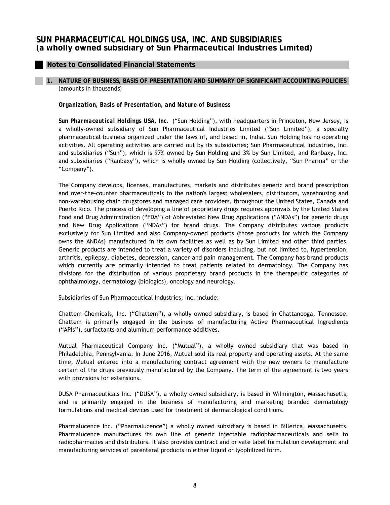# **Notes to Consolidated Financial Statements**

# **1. NATURE OF BUSINESS, BASIS OF PRESENTATION AND SUMMARY OF SIGNIFICANT ACCOUNTING POLICIES**

*(amounts in thousands)*

#### *Organization, Basis of Presentation, and Nature of Business*

*Sun Pharmaceutical Holdings USA, Inc.* ("Sun Holding"), with headquarters in Princeton, New Jersey, is a wholly-owned subsidiary of Sun Pharmaceutical Industries Limited ("Sun Limited"), a specialty pharmaceutical business organized under the laws of, and based in, India. Sun Holding has no operating activities. All operating activities are carried out by its subsidiaries; Sun Pharmaceutical Industries, Inc. and subsidiaries ("Sun"), which is 97% owned by Sun Holding and 3% by Sun Limited, and Ranbaxy, Inc. and subsidiaries ("Ranbaxy"), which is wholly owned by Sun Holding (collectively, "Sun Pharma" or the "Company").

The Company develops, licenses, manufactures, markets and distributes generic and brand prescription and over-the-counter pharmaceuticals to the nation's largest wholesalers, distributors, warehousing and non-warehousing chain drugstores and managed care providers, throughout the United States, Canada and Puerto Rico. The process of developing a line of proprietary drugs requires approvals by the United States Food and Drug Administration ("FDA") of Abbreviated New Drug Applications ("ANDAs") for generic drugs and New Drug Applications ("NDAs") for brand drugs. The Company distributes various products exclusively for Sun Limited and also Company-owned products (those products for which the Company owns the ANDAs) manufactured in its own facilities as well as by Sun Limited and other third parties. Generic products are intended to treat a variety of disorders including, but not limited to, hypertension, arthritis, epilepsy, diabetes, depression, cancer and pain management. The Company has brand products which currently are primarily intended to treat patients related to dermatology. The Company has divisions for the distribution of various proprietary brand products in the therapeutic categories of ophthalmology, dermatology (biologics), oncology and neurology.

Subsidiaries of Sun Pharmaceutical Industries, Inc. include:

Chattem Chemicals, Inc. ("Chattem"), a wholly owned subsidiary, is based in Chattanooga, Tennessee. Chattem is primarily engaged in the business of manufacturing Active Pharmaceutical Ingredients ("APIs"), surfactants and aluminum performance additives.

Mutual Pharmaceutical Company Inc. ("Mutual"), a wholly owned subsidiary that was based in Philadelphia, Pennsylvania. In June 2016, Mutual sold its real property and operating assets. At the same time, Mutual entered into a manufacturing contract agreement with the new owners to manufacture certain of the drugs previously manufactured by the Company. The term of the agreement is two years with provisions for extensions.

DUSA Pharmaceuticals Inc. ("DUSA"), a wholly owned subsidiary, is based in Wilmington, Massachusetts, and is primarily engaged in the business of manufacturing and marketing branded dermatology formulations and medical devices used for treatment of dermatological conditions.

Pharmalucence Inc. ("Pharmalucence") a wholly owned subsidiary is based in Billerica, Massachusetts. Pharmalucence manufactures its own line of generic injectable radiopharmaceuticals and sells to radiopharmacies and distributors. It also provides contract and private label formulation development and manufacturing services of parenteral products in either liquid or lyophilized form.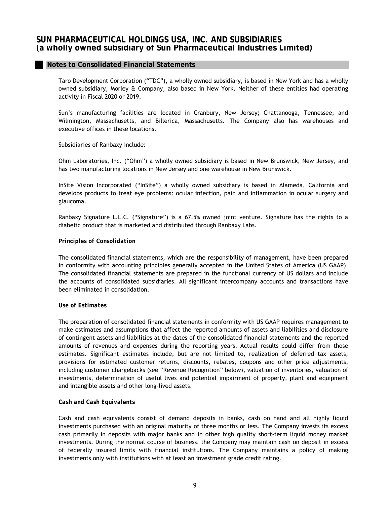Taro Development Corporation ("TDC"), a wholly owned subsidiary, is based in New York and has a wholly owned subsidiary, Morley & Company, also based in New York. Neither of these entities had operating activity in Fiscal 2020 or 2019.

Sun's manufacturing facilities are located in Cranbury, New Jersey; Chattanooga, Tennessee; and Wilmington, Massachusetts, and Billerica, Massachusetts. The Company also has warehouses and executive offices in these locations.

Subsidiaries of Ranbaxy include:

Ohm Laboratories, Inc. ("Ohm") a wholly owned subsidiary is based in New Brunswick, New Jersey, and has two manufacturing locations in New Jersey and one warehouse in New Brunswick.

InSite Vision Incorporated ("InSite") a wholly owned subsidiary is based in Alameda, California and develops products to treat eye problems: ocular infection, pain and inflammation in ocular surgery and glaucoma.

Ranbaxy Signature L.L.C. ("Signature") is a 67.5% owned joint venture. Signature has the rights to a diabetic product that is marketed and distributed through Ranbaxy Labs.

#### *Principles of Consolidation*

The consolidated financial statements, which are the responsibility of management, have been prepared in conformity with accounting principles generally accepted in the United States of America (US GAAP). The consolidated financial statements are prepared in the functional currency of US dollars and include the accounts of consolidated subsidiaries. All significant intercompany accounts and transactions have been eliminated in consolidation.

#### *Use of Estimates*

The preparation of consolidated financial statements in conformity with US GAAP requires management to make estimates and assumptions that affect the reported amounts of assets and liabilities and disclosure of contingent assets and liabilities at the dates of the consolidated financial statements and the reported amounts of revenues and expenses during the reporting years. Actual results could differ from those estimates. Significant estimates include, but are not limited to, realization of deferred tax assets, provisions for estimated customer returns, discounts, rebates, coupons and other price adjustments, including customer chargebacks (see "Revenue Recognition" below), valuation of inventories, valuation of investments, determination of useful lives and potential impairment of property, plant and equipment and intangible assets and other long-lived assets.

#### *Cash and Cash Equivalents*

Cash and cash equivalents consist of demand deposits in banks, cash on hand and all highly liquid investments purchased with an original maturity of three months or less. The Company invests its excess cash primarily in deposits with major banks and in other high quality short-term liquid money market investments. During the normal course of business, the Company may maintain cash on deposit in excess of federally insured limits with financial institutions. The Company maintains a policy of making investments only with institutions with at least an investment grade credit rating.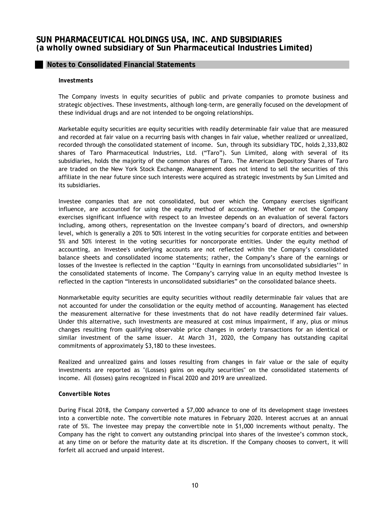## **Notes to Consolidated Financial Statements**

#### *Investments*

The Company invests in equity securities of public and private companies to promote business and strategic objectives. These investments, although long-term, are generally focused on the development of these individual drugs and are not intended to be ongoing relationships.

Marketable equity securities are equity securities with readily determinable fair value that are measured and recorded at fair value on a recurring basis with changes in fair value, whether realized or unrealized, recorded through the consolidated statement of income. Sun, through its subsidiary TDC, holds 2,333,802 shares of Taro Pharmaceutical Industries, Ltd. ("Taro"). Sun Limited, along with several of its subsidiaries, holds the majority of the common shares of Taro. The American Depository Shares of Taro are traded on the New York Stock Exchange. Management does not intend to sell the securities of this affiliate in the near future since such interests were acquired as strategic investments by Sun Limited and its subsidiaries.

Investee companies that are not consolidated, but over which the Company exercises significant influence, are accounted for using the equity method of accounting. Whether or not the Company exercises significant influence with respect to an Investee depends on an evaluation of several factors including, among others, representation on the Investee company's board of directors, and ownership level, which is generally a 20% to 50% interest in the voting securities for corporate entities and between 5% and 50% interest in the voting securities for noncorporate entities. Under the equity method of accounting, an Investee's underlying accounts are not reflected within the Company's consolidated balance sheets and consolidated income statements; rather, the Company's share of the earnings or losses of the Investee is reflected in the caption ''Equity in earnings from unconsolidated subsidiaries'' in the consolidated statements of income. The Company's carrying value in an equity method Investee is reflected in the caption "Interests in unconsolidated subsidiaries" on the consolidated balance sheets.

Nonmarketable equity securities are equity securities without readily determinable fair values that are not accounted for under the consolidation or the equity method of accounting. Management has elected the measurement alternative for these investments that do not have readily determined fair values. Under this alternative, such investments are measured at cost minus impairment, if any, plus or minus changes resulting from qualifying observable price changes in orderly transactions for an identical or similar investment of the same issuer. At March 31, 2020, the Company has outstanding capital commitments of approximately \$3,180 to these investees.

Realized and unrealized gains and losses resulting from changes in fair value or the sale of equity investments are reported as "(Losses) gains on equity securities" on the consolidated statements of income. All (losses) gains recognized in Fiscal 2020 and 2019 are unrealized.

#### *Convertible Notes*

During Fiscal 2018, the Company converted a \$7,000 advance to one of its development stage investees into a convertible note. The convertible note matures in February 2020. Interest accrues at an annual rate of 5%. The investee may prepay the convertible note in \$1,000 increments without penalty. The Company has the right to convert any outstanding principal into shares of the investee's common stock, at any time on or before the maturity date at its discretion. If the Company chooses to convert, it will forfeit all accrued and unpaid interest.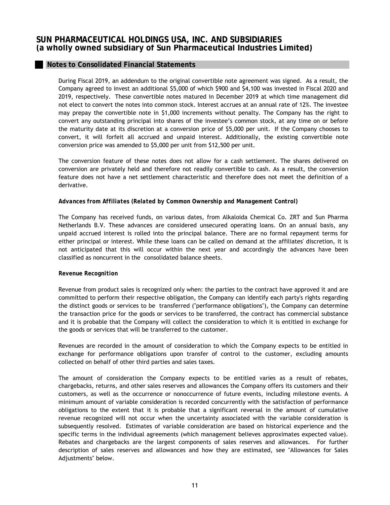# **Notes to Consolidated Financial Statements**

During Fiscal 2019, an addendum to the original convertible note agreement was signed. As a result, the Company agreed to invest an additional \$5,000 of which \$900 and \$4,100 was invested in Fiscal 2020 and 2019, respectively. These convertible notes matured in December 2019 at which time management did not elect to convert the notes into common stock. Interest accrues at an annual rate of 12%. The investee may prepay the convertible note in \$1,000 increments without penalty. The Company has the right to convert any outstanding principal into shares of the investee's common stock, at any time on or before the maturity date at its discretion at a conversion price of \$5,000 per unit. If the Company chooses to convert, it will forfeit all accrued and unpaid interest. Additionally, the existing convertible note conversion price was amended to \$5,000 per unit from \$12,500 per unit.

The conversion feature of these notes does not allow for a cash settlement. The shares delivered on conversion are privately held and therefore not readily convertible to cash. As a result, the conversion feature does not have a net settlement characteristic and therefore does not meet the definition of a derivative.

## *Advances from Affiliates (Related by Common Ownership and Management Control)*

The Company has received funds, on various dates, from Alkaloida Chemical Co. ZRT and Sun Pharma Netherlands B.V. These advances are considered unsecured operating loans. On an annual basis, any unpaid accrued interest is rolled into the principal balance. There are no formal repayment terms for either principal or interest. While these loans can be called on demand at the affiliates' discretion, it is not anticipated that this will occur within the next year and accordingly the advances have been classified as noncurrent in the consolidated balance sheets.

## *Revenue Recognition*

Revenue from product sales is recognized only when: the parties to the contract have approved it and are committed to perform their respective obligation, the Company can identify each party's rights regarding the distinct goods or services to be transferred ("performance obligations"), the Company can determine the transaction price for the goods or services to be transferred, the contract has commercial substance and it is probable that the Company will collect the consideration to which it is entitled in exchange for the goods or services that will be transferred to the customer.

Revenues are recorded in the amount of consideration to which the Company expects to be entitled in exchange for performance obligations upon transfer of control to the customer, excluding amounts collected on behalf of other third parties and sales taxes.

The amount of consideration the Company expects to be entitled varies as a result of rebates, chargebacks, returns, and other sales reserves and allowances the Company offers its customers and their customers, as well as the occurrence or nonoccurrence of future events, including milestone events. A minimum amount of variable consideration is recorded concurrently with the satisfaction of performance obligations to the extent that it is probable that a significant reversal in the amount of cumulative revenue recognized will not occur when the uncertainty associated with the variable consideration is subsequently resolved. Estimates of variable consideration are based on historical experience and the specific terms in the individual agreements (which management believes approximates expected value). Rebates and chargebacks are the largest components of sales reserves and allowances. For further description of sales reserves and allowances and how they are estimated, see "Allowances for Sales Adjustments" below.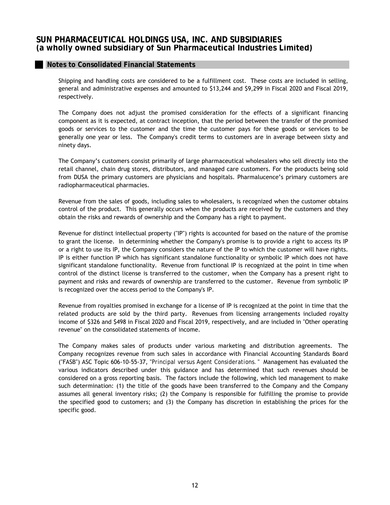Shipping and handling costs are considered to be a fulfillment cost. These costs are included in selling, general and administrative expenses and amounted to \$13,244 and \$9,299 in Fiscal 2020 and Fiscal 2019, respectively.

The Company does not adjust the promised consideration for the effects of a significant financing component as it is expected, at contract inception, that the period between the transfer of the promised goods or services to the customer and the time the customer pays for these goods or services to be generally one year or less. The Company's credit terms to customers are in average between sixty and ninety days.

The Company's customers consist primarily of large pharmaceutical wholesalers who sell directly into the retail channel, chain drug stores, distributors, and managed care customers. For the products being sold from DUSA the primary customers are physicians and hospitals. Pharmalucence's primary customers are radiopharmaceutical pharmacies.

Revenue from the sales of goods, including sales to wholesalers, is recognized when the customer obtains control of the product. This generally occurs when the products are received by the customers and they obtain the risks and rewards of ownership and the Company has a right to payment.

Revenue for distinct intellectual property ("IP") rights is accounted for based on the nature of the promise to grant the license. In determining whether the Company's promise is to provide a right to access its IP or a right to use its IP, the Company considers the nature of the IP to which the customer will have rights. IP is either function IP which has significant standalone functionality or symbolic IP which does not have significant standalone functionality. Revenue from functional IP is recognized at the point in time when control of the distinct license is transferred to the customer, when the Company has a present right to payment and risks and rewards of ownership are transferred to the customer. Revenue from symbolic IP is recognized over the access period to the Company's IP.

Revenue from royalties promised in exchange for a license of IP is recognized at the point in time that the related products are sold by the third party. Revenues from licensing arrangements included royalty income of \$326 and \$498 in Fiscal 2020 and Fiscal 2019, respectively, and are included in "Other operating revenue" on the consolidated statements of income.

The Company makes sales of products under various marketing and distribution agreements. The Company recognizes revenue from such sales in accordance with Financial Accounting Standards Board ("FASB") ASC Topic 606-10-55-37, "*Principal versus Agent Considerations.* " Management has evaluated the various indicators described under this guidance and has determined that such revenues should be considered on a gross reporting basis. The factors include the following, which led management to make such determination: (1) the title of the goods have been transferred to the Company and the Company assumes all general inventory risks; (2) the Company is responsible for fulfilling the promise to provide the specified good to customers; and (3) the Company has discretion in establishing the prices for the specific good.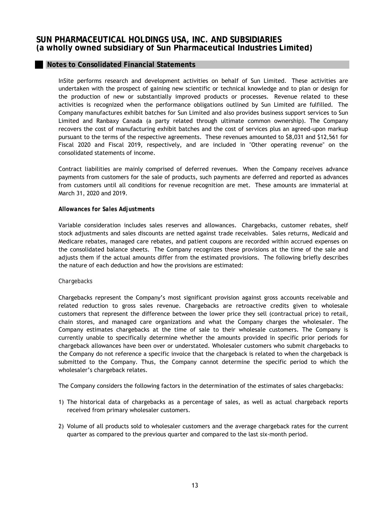## **Notes to Consolidated Financial Statements**

InSite performs research and development activities on behalf of Sun Limited. These activities are undertaken with the prospect of gaining new scientific or technical knowledge and to plan or design for the production of new or substantially improved products or processes. Revenue related to these activities is recognized when the performance obligations outlined by Sun Limited are fulfilled. The Company manufactures exhibit batches for Sun Limited and also provides business support services to Sun Limited and Ranbaxy Canada (a party related through ultimate common ownership). The Company recovers the cost of manufacturing exhibit batches and the cost of services plus an agreed-upon markup pursuant to the terms of the respective agreements. These revenues amounted to \$8,031 and \$12,561 for Fiscal 2020 and Fiscal 2019, respectively, and are included in "Other operating revenue" on the consolidated statements of income.

Contract liabilities are mainly comprised of deferred revenues. When the Company receives advance payments from customers for the sale of products, such payments are deferred and reported as advances from customers until all conditions for revenue recognition are met. These amounts are immaterial at March 31, 2020 and 2019.

#### *Allowances for Sales Adjustments*

Variable consideration includes sales reserves and allowances. Chargebacks, customer rebates, shelf stock adjustments and sales discounts are netted against trade receivables. Sales returns, Medicaid and Medicare rebates, managed care rebates, and patient coupons are recorded within accrued expenses on the consolidated balance sheets. The Company recognizes these provisions at the time of the sale and adjusts them if the actual amounts differ from the estimated provisions. The following briefly describes the nature of each deduction and how the provisions are estimated:

#### *Chargebacks*

Chargebacks represent the Company's most significant provision against gross accounts receivable and related reduction to gross sales revenue. Chargebacks are retroactive credits given to wholesale customers that represent the difference between the lower price they sell (contractual price) to retail, chain stores, and managed care organizations and what the Company charges the wholesaler. The Company estimates chargebacks at the time of sale to their wholesale customers. The Company is currently unable to specifically determine whether the amounts provided in specific prior periods for chargeback allowances have been over or understated. Wholesaler customers who submit chargebacks to the Company do not reference a specific invoice that the chargeback is related to when the chargeback is submitted to the Company. Thus, the Company cannot determine the specific period to which the wholesaler's chargeback relates.

The Company considers the following factors in the determination of the estimates of sales chargebacks:

- 1) The historical data of chargebacks as a percentage of sales, as well as actual chargeback reports received from primary wholesaler customers.
- 2) Volume of all products sold to wholesaler customers and the average chargeback rates for the current quarter as compared to the previous quarter and compared to the last six-month period.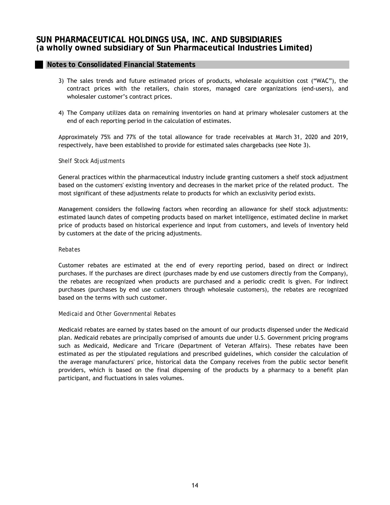- 3) The sales trends and future estimated prices of products, wholesale acquisition cost ("WAC"), the contract prices with the retailers, chain stores, managed care organizations (end-users), and wholesaler customer's contract prices.
- 4) The Company utilizes data on remaining inventories on hand at primary wholesaler customers at the end of each reporting period in the calculation of estimates.

Approximately 75% and 77% of the total allowance for trade receivables at March 31, 2020 and 2019, respectively, have been established to provide for estimated sales chargebacks (see Note 3).

#### *Shelf Stock Adjustments*

General practices within the pharmaceutical industry include granting customers a shelf stock adjustment based on the customers' existing inventory and decreases in the market price of the related product. The most significant of these adjustments relate to products for which an exclusivity period exists.

Management considers the following factors when recording an allowance for shelf stock adjustments: estimated launch dates of competing products based on market intelligence, estimated decline in market price of products based on historical experience and input from customers, and levels of inventory held by customers at the date of the pricing adjustments.

#### *Rebates*

Customer rebates are estimated at the end of every reporting period, based on direct or indirect purchases. If the purchases are direct (purchases made by end use customers directly from the Company), the rebates are recognized when products are purchased and a periodic credit is given. For indirect purchases (purchases by end use customers through wholesale customers), the rebates are recognized based on the terms with such customer.

#### *Medicaid and Other Governmental Rebates*

Medicaid rebates are earned by states based on the amount of our products dispensed under the Medicaid plan. Medicaid rebates are principally comprised of amounts due under U.S. Government pricing programs such as Medicaid, Medicare and Tricare (Department of Veteran Affairs). These rebates have been estimated as per the stipulated regulations and prescribed guidelines, which consider the calculation of the average manufacturers' price, historical data the Company receives from the public sector benefit providers, which is based on the final dispensing of the products by a pharmacy to a benefit plan participant, and fluctuations in sales volumes.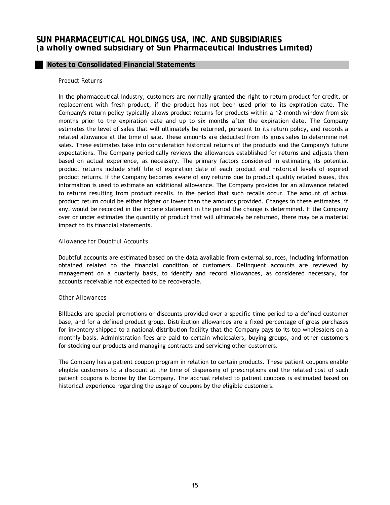# **Notes to Consolidated Financial Statements**

#### *Product Returns*

In the pharmaceutical industry, customers are normally granted the right to return product for credit, or replacement with fresh product, if the product has not been used prior to its expiration date. The Company's return policy typically allows product returns for products within a 12-month window from six months prior to the expiration date and up to six months after the expiration date. The Company estimates the level of sales that will ultimately be returned, pursuant to its return policy, and records a related allowance at the time of sale. These amounts are deducted from its gross sales to determine net sales. These estimates take into consideration historical returns of the products and the Company's future expectations. The Company periodically reviews the allowances established for returns and adjusts them based on actual experience, as necessary. The primary factors considered in estimating its potential product returns include shelf life of expiration date of each product and historical levels of expired product returns. If the Company becomes aware of any returns due to product quality related issues, this information is used to estimate an additional allowance. The Company provides for an allowance related to returns resulting from product recalls, in the period that such recalls occur. The amount of actual product return could be either higher or lower than the amounts provided. Changes in these estimates, if any, would be recorded in the income statement in the period the change is determined. If the Company over or under estimates the quantity of product that will ultimately be returned, there may be a material impact to its financial statements.

#### *Allowance for Doubtful Accounts*

Doubtful accounts are estimated based on the data available from external sources, including information obtained related to the financial condition of customers. Delinquent accounts are reviewed by management on a quarterly basis, to identify and record allowances, as considered necessary, for accounts receivable not expected to be recoverable.

#### *Other Allowances*

Billbacks are special promotions or discounts provided over a specific time period to a defined customer base, and for a defined product group. Distribution allowances are a fixed percentage of gross purchases for inventory shipped to a national distribution facility that the Company pays to its top wholesalers on a monthly basis. Administration fees are paid to certain wholesalers, buying groups, and other customers for stocking our products and managing contracts and servicing other customers.

The Company has a patient coupon program in relation to certain products. These patient coupons enable eligible customers to a discount at the time of dispensing of prescriptions and the related cost of such patient coupons is borne by the Company. The accrual related to patient coupons is estimated based on historical experience regarding the usage of coupons by the eligible customers.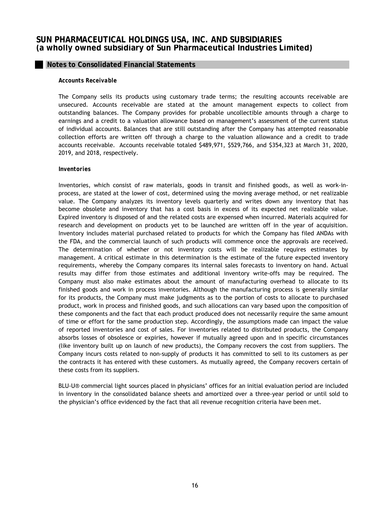## **Notes to Consolidated Financial Statements**

#### *Accounts Receivable*

The Company sells its products using customary trade terms; the resulting accounts receivable are unsecured. Accounts receivable are stated at the amount management expects to collect from outstanding balances. The Company provides for probable uncollectible amounts through a charge to earnings and a credit to a valuation allowance based on management's assessment of the current status of individual accounts. Balances that are still outstanding after the Company has attempted reasonable collection efforts are written off through a charge to the valuation allowance and a credit to trade accounts receivable. Accounts receivable totaled \$489,971, \$529,766, and \$354,323 at March 31, 2020, 2019, and 2018, respectively.

#### *Inventories*

Inventories, which consist of raw materials, goods in transit and finished goods, as well as work-inprocess, are stated at the lower of cost, determined using the moving average method, or net realizable value. The Company analyzes its inventory levels quarterly and writes down any inventory that has become obsolete and inventory that has a cost basis in excess of its expected net realizable value. Expired inventory is disposed of and the related costs are expensed when incurred. Materials acquired for research and development on products yet to be launched are written off in the year of acquisition. Inventory includes material purchased related to products for which the Company has filed ANDAs with the FDA, and the commercial launch of such products will commence once the approvals are received. The determination of whether or not inventory costs will be realizable requires estimates by management. A critical estimate in this determination is the estimate of the future expected inventory requirements, whereby the Company compares its internal sales forecasts to inventory on hand. Actual results may differ from those estimates and additional inventory write-offs may be required. The Company must also make estimates about the amount of manufacturing overhead to allocate to its finished goods and work in process inventories. Although the manufacturing process is generally similar for its products, the Company must make judgments as to the portion of costs to allocate to purchased product, work in process and finished goods, and such allocations can vary based upon the composition of these components and the fact that each product produced does not necessarily require the same amount of time or effort for the same production step. Accordingly, the assumptions made can impact the value of reported inventories and cost of sales. For inventories related to distributed products, the Company absorbs losses of obsolesce or expiries, however if mutually agreed upon and in specific circumstances (like inventory built up on launch of new products), the Company recovers the cost from suppliers. The Company incurs costs related to non-supply of products it has committed to sell to its customers as per the contracts it has entered with these customers. As mutually agreed, the Company recovers certain of these costs from its suppliers.

BLU-U® commercial light sources placed in physicians' offices for an initial evaluation period are included in inventory in the consolidated balance sheets and amortized over a three-year period or until sold to the physician's office evidenced by the fact that all revenue recognition criteria have been met.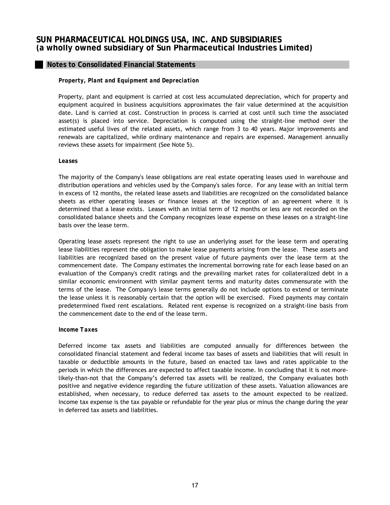## *Property, Plant and Equipment and Depreciation*

Property, plant and equipment is carried at cost less accumulated depreciation, which for property and equipment acquired in business acquisitions approximates the fair value determined at the acquisition date. Land is carried at cost. Construction in process is carried at cost until such time the associated asset(s) is placed into service. Depreciation is computed using the straight-line method over the estimated useful lives of the related assets, which range from 3 to 40 years. Major improvements and renewals are capitalized, while ordinary maintenance and repairs are expensed. Management annually reviews these assets for impairment (See Note 5).

#### *Leases*

The majority of the Company's lease obligations are real estate operating leases used in warehouse and distribution operations and vehicles used by the Company's sales force. For any lease with an initial term in excess of 12 months, the related lease assets and liabilities are recognized on the consolidated balance sheets as either operating leases or finance leases at the inception of an agreement where it is determined that a lease exists. Leases with an initial term of 12 months or less are not recorded on the consolidated balance sheets and the Company recognizes lease expense on these leases on a straight-line basis over the lease term.

Operating lease assets represent the right to use an underlying asset for the lease term and operating lease liabilities represent the obligation to make lease payments arising from the lease. These assets and liabilities are recognized based on the present value of future payments over the lease term at the commencement date. The Company estimates the incremental borrowing rate for each lease based on an evaluation of the Company's credit ratings and the prevailing market rates for collateralized debt in a similar economic environment with similar payment terms and maturity dates commensurate with the terms of the lease. The Company's lease terms generally do not include options to extend or terminate the lease unless it is reasonably certain that the option will be exercised. Fixed payments may contain predetermined fixed rent escalations. Related rent expense is recognized on a straight-line basis from the commencement date to the end of the lease term.

#### *Income Taxes*

Deferred income tax assets and liabilities are computed annually for differences between the consolidated financial statement and federal income tax bases of assets and liabilities that will result in taxable or deductible amounts in the future, based on enacted tax laws and rates applicable to the periods in which the differences are expected to affect taxable income. In concluding that it is not morelikely-than-not that the Company's deferred tax assets will be realized, the Company evaluates both positive and negative evidence regarding the future utilization of these assets. Valuation allowances are established, when necessary, to reduce deferred tax assets to the amount expected to be realized. Income tax expense is the tax payable or refundable for the year plus or minus the change during the year in deferred tax assets and liabilities.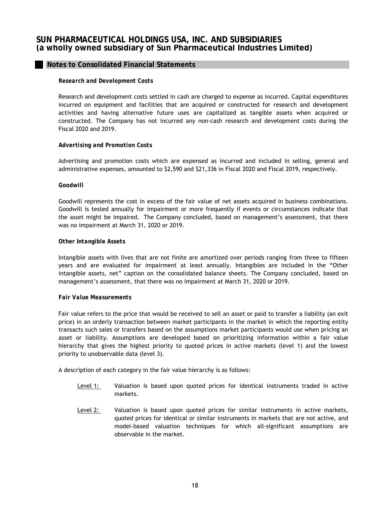# **Notes to Consolidated Financial Statements**

#### *Research and Development Costs*

Research and development costs settled in cash are charged to expense as incurred. Capital expenditures incurred on equipment and facilities that are acquired or constructed for research and development activities and having alternative future uses are capitalized as tangible assets when acquired or constructed. The Company has not incurred any non-cash research and development costs during the Fiscal 2020 and 2019.

#### *Advertising and Promotion Costs*

Advertising and promotion costs which are expensed as incurred and included in selling, general and administrative expenses, amounted to \$2,590 and \$21,336 in Fiscal 2020 and Fiscal 2019, respectively.

#### *Goodwill*

Goodwill represents the cost in excess of the fair value of net assets acquired in business combinations. Goodwill is tested annually for impairment or more frequently if events or circumstances indicate that the asset might be impaired. The Company concluded, based on management's assessment, that there was no impairment at March 31, 2020 or 2019.

#### *Other Intangible Assets*

Intangible assets with lives that are not finite are amortized over periods ranging from three to fifteen years and are evaluated for impairment at least annually. Intangibles are included in the "Other intangible assets, net" caption on the consolidated balance sheets. The Company concluded, based on management's assessment, that there was no impairment at March 31, 2020 or 2019.

#### *Fair Value Measurements*

Fair value refers to the price that would be received to sell an asset or paid to transfer a liability (an exit price) in an orderly transaction between market participants in the market in which the reporting entity transacts such sales or transfers based on the assumptions market participants would use when pricing an asset or liability. Assumptions are developed based on prioritizing information within a fair value hierarchy that gives the highest priority to quoted prices in active markets (level 1) and the lowest priority to unobservable data (level 3).

A description of each category in the fair value hierarchy is as follows:

- Level 1: Valuation is based upon quoted prices for identical instruments traded in active markets.
- Level 2: Valuation is based upon quoted prices for similar instruments in active markets, quoted prices for identical or similar instruments in markets that are not active, and model-based valuation techniques for which all-significant assumptions are observable in the market.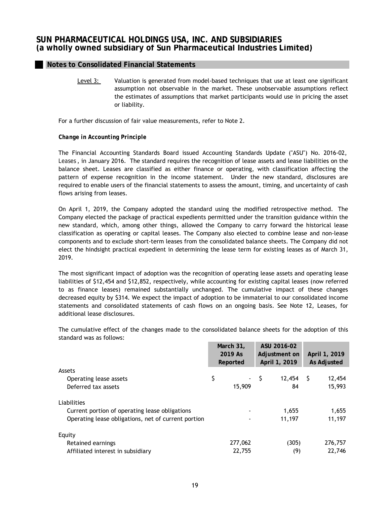Level 3: Valuation is generated from model-based techniques that use at least one significant assumption not observable in the market. These unobservable assumptions reflect the estimates of assumptions that market participants would use in pricing the asset or liability.

For a further discussion of fair value measurements, refer to Note 2.

## *Change in Accounting Principle*

The Financial Accounting Standards Board issued Accounting Standards Update ("ASU") No. 2016-02, *Leases* , in January 2016. The standard requires the recognition of lease assets and lease liabilities on the balance sheet. Leases are classified as either finance or operating, with classification affecting the pattern of expense recognition in the income statement. Under the new standard, disclosures are required to enable users of the financial statements to assess the amount, timing, and uncertainty of cash flows arising from leases.

On April 1, 2019, the Company adopted the standard using the modified retrospective method. The Company elected the package of practical expedients permitted under the transition guidance within the new standard, which, among other things, allowed the Company to carry forward the historical lease classification as operating or capital leases. The Company also elected to combine lease and non-lease components and to exclude short-term leases from the consolidated balance sheets. The Company did not elect the hindsight practical expedient in determining the lease term for existing leases as of March 31, 2019.

The most significant impact of adoption was the recognition of operating lease assets and operating lease liabilities of \$12,454 and \$12,852, respectively, while accounting for existing capital leases (now referred to as finance leases) remained substantially unchanged. The cumulative impact of these changes decreased equity by \$314. We expect the impact of adoption to be immaterial to our consolidated income statements and consolidated statements of cash flows on an ongoing basis. See Note 12, Leases, for additional lease disclosures.

|                                                     | March 31,<br>2019 As<br>Reported |         | ASU 2016-02<br>Adjustment on<br>April 1, 2019 |        | April 1, 2019<br><b>As Adjusted</b> |         |
|-----------------------------------------------------|----------------------------------|---------|-----------------------------------------------|--------|-------------------------------------|---------|
| Assets                                              |                                  |         |                                               |        |                                     |         |
| Operating lease assets                              | \$                               |         | - 5                                           | 12,454 | - S                                 | 12,454  |
| Deferred tax assets                                 |                                  | 15,909  |                                               | 84     |                                     | 15,993  |
| Liabilities                                         |                                  |         |                                               |        |                                     |         |
| Current portion of operating lease obligations      |                                  | ٠       |                                               | 1,655  |                                     | 1,655   |
| Operating lease obligations, net of current portion |                                  | ۰       |                                               | 11,197 |                                     | 11,197  |
| Equity                                              |                                  |         |                                               |        |                                     |         |
| Retained earnings                                   |                                  | 277,062 |                                               | (305)  |                                     | 276,757 |
| Affiliated interest in subsidiary                   |                                  | 22,755  |                                               | (9)    |                                     | 22,746  |

The cumulative effect of the changes made to the consolidated balance sheets for the adoption of this standard was as follows: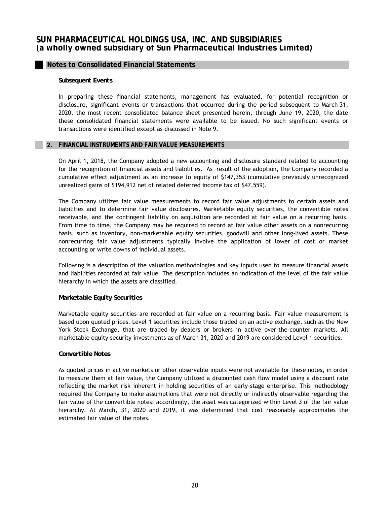## **Notes to Consolidated Financial Statements**

#### *Subsequent Events*

In preparing these financial statements, management has evaluated, for potential recognition or disclosure, significant events or transactions that occurred during the period subsequent to March 31, 2020, the most recent consolidated balance sheet presented herein, through June 19, 2020, the date these consolidated financial statements were available to be issued. No such significant events or transactions were identified except as discussed in Note 9.

#### **2. FINANCIAL INSTRUMENTS AND FAIR VALUE MEASUREMENTS**

On April 1, 2018, the Company adopted a new accounting and disclosure standard related to accounting for the recognition of financial assets and liabilities. As result of the adoption, the Company recorded a cumulative effect adjustment as an increase to equity of \$147,353 (cumulative previously unrecognized unrealized gains of \$194,912 net of related deferred income tax of \$47,559).

The Company utilizes fair value measurements to record fair value adjustments to certain assets and liabilities and to determine fair value disclosures. Marketable equity securities, the convertible notes receivable, and the contingent liability on acquisition are recorded at fair value on a recurring basis. From time to time, the Company may be required to record at fair value other assets on a nonrecurring basis, such as inventory, non-marketable equity securities, goodwill and other long-lived assets. These nonrecurring fair value adjustments typically involve the application of lower of cost or market accounting or write downs of individual assets.

Following is a description of the valuation methodologies and key inputs used to measure financial assets and liabilities recorded at fair value. The description includes an indication of the level of the fair value hierarchy in which the assets are classified.

## *Marketable Equity Securities*

Marketable equity securities are recorded at fair value on a recurring basis. Fair value measurement is based upon quoted prices. Level 1 securities include those traded on an active exchange, such as the New York Stock Exchange, that are traded by dealers or brokers in active over-the-counter markets. All marketable equity security investments as of March 31, 2020 and 2019 are considered Level 1 securities.

## *Convertible Notes*

As quoted prices in active markets or other observable inputs were not available for these notes, in order to measure them at fair value, the Company utilized a discounted cash flow model using a discount rate reflecting the market risk inherent in holding securities of an early-stage enterprise. This methodology required the Company to make assumptions that were not directly or indirectly observable regarding the fair value of the convertible notes; accordingly, the asset was categorized within Level 3 of the fair value hierarchy. At March, 31, 2020 and 2019, it was determined that cost reasonably approximates the estimated fair value of the notes.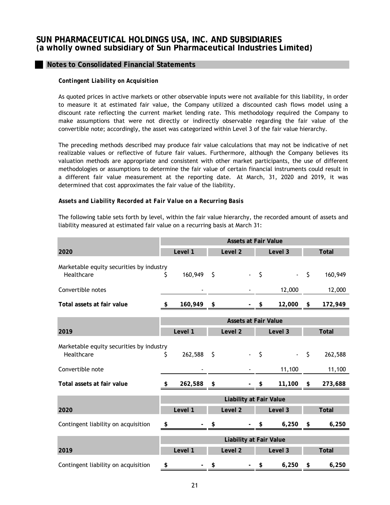# **Notes to Consolidated Financial Statements**

#### *Contingent Liability on Acquisition*

As quoted prices in active markets or other observable inputs were not available for this liability, in order to measure it at estimated fair value, the Company utilized a discounted cash flows model using a discount rate reflecting the current market lending rate. This methodology required the Company to make assumptions that were not directly or indirectly observable regarding the fair value of the convertible note; accordingly, the asset was categorized within Level 3 of the fair value hierarchy.

The preceding methods described may produce fair value calculations that may not be indicative of net realizable values or reflective of future fair values. Furthermore, although the Company believes its valuation methods are appropriate and consistent with other market participants, the use of different methodologies or assumptions to determine the fair value of certain financial instruments could result in a different fair value measurement at the reporting date. At March, 31, 2020 and 2019, it was determined that cost approximates the fair value of the liability.

#### *Assets and Liability Recorded at Fair Value on a Recurring Basis*

The following table sets forth by level, within the fair value hierarchy, the recorded amount of assets and liability measured at estimated fair value on a recurring basis at March 31:

|                                          | <b>Assets at Fair Value</b> |         |    |                                |         |         |         |              |
|------------------------------------------|-----------------------------|---------|----|--------------------------------|---------|---------|---------|--------------|
| 2020                                     |                             | Level 1 |    | Level <sub>2</sub>             |         | Level 3 |         | <b>Total</b> |
| Marketable equity securities by industry |                             |         |    |                                |         |         |         |              |
| Healthcare                               | S                           | 160,949 | \$ |                                | $\zeta$ |         | $\zeta$ | 160,949      |
| Convertible notes                        |                             |         |    |                                |         | 12,000  |         | 12,000       |
| Total assets at fair value               | \$                          | 160,949 | \$ |                                | \$      | 12,000  | \$      | 172,949      |
|                                          | <b>Assets at Fair Value</b> |         |    |                                |         |         |         |              |
| 2019                                     |                             | Level 1 |    | Level <sub>2</sub>             |         | Level 3 |         | <b>Total</b> |
| Marketable equity securities by industry |                             |         |    |                                |         |         |         |              |
| Healthcare                               | S                           | 262,588 | \$ |                                | \$      |         | \$      | 262,588      |
| Convertible note                         |                             |         |    |                                |         | 11,100  |         | 11,100       |
| Total assets at fair value               | \$                          | 262,588 | \$ |                                | \$      | 11,100  | \$      | 273,688      |
|                                          |                             |         |    | <b>Liability at Fair Value</b> |         |         |         |              |
| 2020                                     |                             | Level 1 |    | Level <sub>2</sub>             |         | Level 3 |         | <b>Total</b> |
| Contingent liability on acquisition      | \$                          |         |    |                                | \$      | 6,250   | \$      | 6,250        |
|                                          |                             |         |    | <b>Liability at Fair Value</b> |         |         |         |              |
| 2019                                     |                             | Level 1 |    | Level 2                        |         | Level 3 |         | <b>Total</b> |
| Contingent liability on acquisition      | \$                          |         | \$ |                                | \$      | 6,250   | \$      | 6,250        |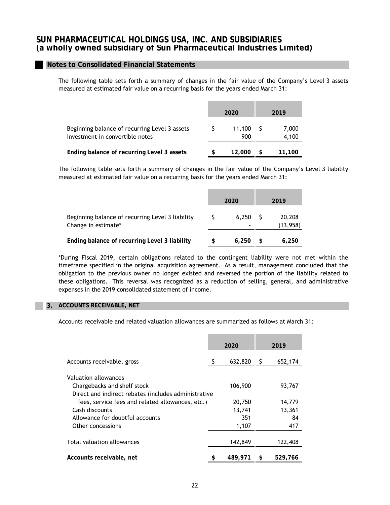## **Notes to Consolidated Financial Statements**

The following table sets forth a summary of changes in the fair value of the Company's Level 3 assets measured at estimated fair value on a recurring basis for the years ended March 31:

|                                                                                  | 2020          | 2019 |                |  |
|----------------------------------------------------------------------------------|---------------|------|----------------|--|
| Beginning balance of recurring Level 3 assets<br>Investment in convertible notes | 11.100<br>900 |      | 7,000<br>4,100 |  |
| Ending balance of recurring Level 3 assets                                       | 12,000        |      | 11,100         |  |

The following table sets forth a summary of changes in the fair value of the Company's Level 3 liability measured at estimated fair value on a recurring basis for the years ended March 31:

|                                                                         | 2020    | 2019 |                     |  |
|-------------------------------------------------------------------------|---------|------|---------------------|--|
| Beginning balance of recurring Level 3 liability<br>Change in estimate* | 6.250 S |      | 20,208<br>(13, 958) |  |
| Ending balance of recurring Level 3 liability                           | 6,250   |      | 6,250               |  |

\*During Fiscal 2019, certain obligations related to the contingent liability were not met within the timeframe specified in the original acquisition agreement. As a result, management concluded that the obligation to the previous owner no longer existed and reversed the portion of the liability related to these obligations. This reversal was recognized as a reduction of selling, general, and administrative expenses in the 2019 consolidated statement of income.

#### **3. ACCOUNTS RECEIVABLE, NET**

Accounts receivable and related valuation allowances are summarized as follows at March 31:

|                                                      |    | 2020    | 2019 |         |  |
|------------------------------------------------------|----|---------|------|---------|--|
| Accounts receivable, gross                           | S  | 632,820 | S    | 652,174 |  |
| Valuation allowances                                 |    |         |      |         |  |
| Chargebacks and shelf stock                          |    | 106,900 |      | 93,767  |  |
| Direct and indirect rebates (includes administrative |    |         |      |         |  |
| fees, service fees and related allowances, etc.)     |    | 20,750  |      | 14,779  |  |
| Cash discounts                                       |    | 13,741  |      | 13,361  |  |
| Allowance for doubtful accounts                      |    | 351     |      | 84      |  |
| Other concessions                                    |    | 1,107   |      | 417     |  |
|                                                      |    |         |      |         |  |
| Total valuation allowances                           |    | 142,849 |      | 122,408 |  |
| Accounts receivable, net                             | \$ | 489,971 | \$   | 529,766 |  |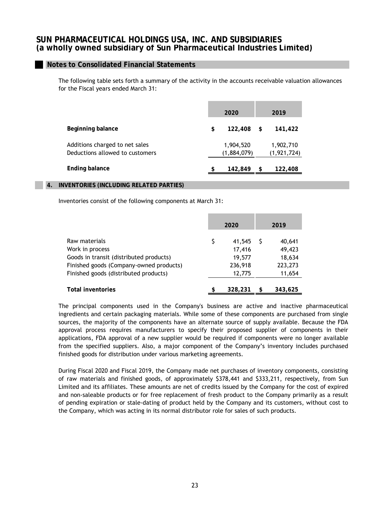## **Notes to Consolidated Financial Statements**

The following table sets forth a summary of the activity in the accounts receivable valuation allowances for the Fiscal years ended March 31:

|                                                                   | 2020                     | 2019 |                            |  |  |
|-------------------------------------------------------------------|--------------------------|------|----------------------------|--|--|
| Beginning balance                                                 | \$<br>122,408            | S.   | 141,422                    |  |  |
| Additions charged to net sales<br>Deductions allowed to customers | 1,904,520<br>(1,884,079) |      | 1,902,710<br>(1, 921, 724) |  |  |
| <b>Ending balance</b>                                             | \$<br>142,849            | \$   | 122,408                    |  |  |

## **4. INVENTORIES (INCLUDING RELATED PARTIES)**

Inventories consist of the following components at March 31:

|                                         |    | 2020    |  | 2019    |
|-----------------------------------------|----|---------|--|---------|
| Raw materials                           | S  | 41,545  |  | 40,641  |
| Work in process                         |    | 17,416  |  | 49,423  |
| Goods in transit (distributed products) |    | 19,577  |  | 18,634  |
| Finished goods (Company-owned products) |    | 236,918 |  | 223,273 |
| Finished goods (distributed products)   |    | 12,775  |  | 11,654  |
| <b>Total inventories</b>                | \$ | 328,231 |  | 343,625 |

The principal components used in the Company's business are active and inactive pharmaceutical ingredients and certain packaging materials. While some of these components are purchased from single sources, the majority of the components have an alternate source of supply available. Because the FDA approval process requires manufacturers to specify their proposed supplier of components in their applications, FDA approval of a new supplier would be required if components were no longer available from the specified suppliers. Also, a major component of the Company's inventory includes purchased finished goods for distribution under various marketing agreements.

During Fiscal 2020 and Fiscal 2019, the Company made net purchases of inventory components, consisting of raw materials and finished goods, of approximately \$378,441 and \$333,211, respectively, from Sun Limited and its affiliates. These amounts are net of credits issued by the Company for the cost of expired and non-saleable products or for free replacement of fresh product to the Company primarily as a result of pending expiration or stale-dating of product held by the Company and its customers, without cost to the Company, which was acting in its normal distributor role for sales of such products.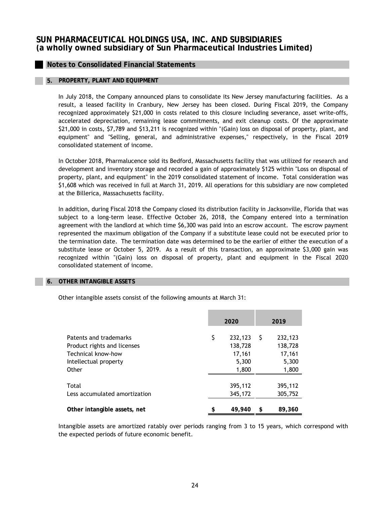# **Notes to Consolidated Financial Statements**

## **5. PROPERTY, PLANT AND EQUIPMENT**

In July 2018, the Company announced plans to consolidate its New Jersey manufacturing facilities. As a result, a leased facility in Cranbury, New Jersey has been closed. During Fiscal 2019, the Company recognized approximately \$21,000 in costs related to this closure including severance, asset write-offs, accelerated depreciation, remaining lease commitments, and exit cleanup costs. Of the approximate \$21,000 in costs, \$7,789 and \$13,211 is recognized within "(Gain) loss on disposal of property, plant, and equipment" and "Selling, general, and administrative expenses," respectively, in the Fiscal 2019 consolidated statement of income.

In October 2018, Pharmalucence sold its Bedford, Massachusetts facility that was utilized for research and development and inventory storage and recorded a gain of approximately \$125 within "Loss on disposal of property, plant, and equipment" in the 2019 consolidated statement of income. Total consideration was \$1,608 which was received in full at March 31, 2019. All operations for this subsidiary are now completed at the Billerica, Massachusetts facility.

In addition, during Fiscal 2018 the Company closed its distribution facility in Jacksonville, Florida that was subject to a long-term lease. Effective October 26, 2018, the Company entered into a termination agreement with the landlord at which time \$6,300 was paid into an escrow account. The escrow payment represented the maximum obligation of the Company if a substitute lease could not be executed prior to the termination date. The termination date was determined to be the earlier of either the execution of a substitute lease or October 5, 2019. As a result of this transaction, an approximate \$3,000 gain was recognized within "(Gain) loss on disposal of property, plant and equipment in the Fiscal 2020 consolidated statement of income.

#### **6. OTHER INTANGIBLE ASSETS**

Other intangible assets consist of the following amounts at March 31:

|                                                                                                               | 2020 |                                                |     | 2019                                           |
|---------------------------------------------------------------------------------------------------------------|------|------------------------------------------------|-----|------------------------------------------------|
| Patents and trademarks<br>Product rights and licenses<br>Technical know-how<br>Intellectual property<br>Other | \$   | 232,123<br>138,728<br>17,161<br>5,300<br>1,800 | - S | 232,123<br>138,728<br>17,161<br>5,300<br>1,800 |
| Total<br>Less accumulated amortization<br>Other intangible assets, net                                        | \$   | 395,112<br>345,172<br>49,940                   | \$  | 395,112<br>305,752<br>89,360                   |

Intangible assets are amortized ratably over periods ranging from 3 to 15 years, which correspond with the expected periods of future economic benefit.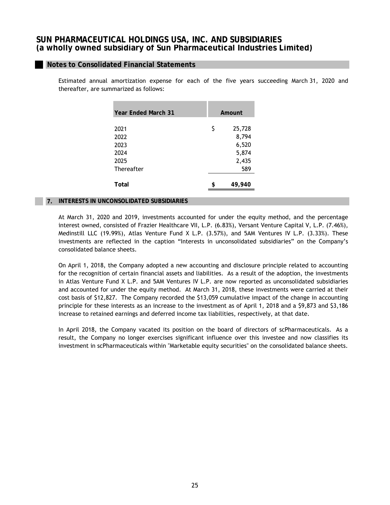## **Notes to Consolidated Financial Statements**

Estimated annual amortization expense for each of the five years succeeding March 31, 2020 and thereafter, are summarized as follows:

| \$<br>25,728<br>2021<br>8,794<br>2022<br>6,520<br>2023<br>5,874<br>2024<br>2,435<br>2025<br>589<br>Thereafter<br>Total<br>\$<br>49.940 | <b>Year Ended March 31</b> | Amount |  |  |  |
|----------------------------------------------------------------------------------------------------------------------------------------|----------------------------|--------|--|--|--|
|                                                                                                                                        |                            |        |  |  |  |
|                                                                                                                                        |                            |        |  |  |  |
|                                                                                                                                        |                            |        |  |  |  |
|                                                                                                                                        |                            |        |  |  |  |
|                                                                                                                                        |                            |        |  |  |  |
|                                                                                                                                        |                            |        |  |  |  |
|                                                                                                                                        |                            |        |  |  |  |
|                                                                                                                                        |                            |        |  |  |  |
|                                                                                                                                        |                            |        |  |  |  |

#### **7. INTERESTS IN UNCONSOLIDATED SUBSIDIARIES**

At March 31, 2020 and 2019, investments accounted for under the equity method, and the percentage interest owned, consisted of Frazier Healthcare VII, L.P. (6.83%), Versant Venture Capital V, L.P. (7.46%), Medinstill LLC (19.99%), Atlas Venture Fund X L.P. (3.57%), and 5AM Ventures IV L.P. (3.33%). These investments are reflected in the caption "Interests in unconsolidated subsidiaries" on the Company's consolidated balance sheets.

On April 1, 2018, the Company adopted a new accounting and disclosure principle related to accounting for the recognition of certain financial assets and liabilities. As a result of the adoption, the investments in Atlas Venture Fund X L.P. and 5AM Ventures IV L.P. are now reported as unconsolidated subsidiaries and accounted for under the equity method. At March 31, 2018, these investments were carried at their cost basis of \$12,827. The Company recorded the \$13,059 cumulative impact of the change in accounting principle for these interests as an increase to the investment as of April 1, 2018 and a \$9,873 and \$3,186 increase to retained earnings and deferred income tax liabilities, respectively, at that date.

In April 2018, the Company vacated its position on the board of directors of scPharmaceuticals. As a result, the Company no longer exercises significant influence over this investee and now classifies its investment in scPharmaceuticals within "Marketable equity securities" on the consolidated balance sheets.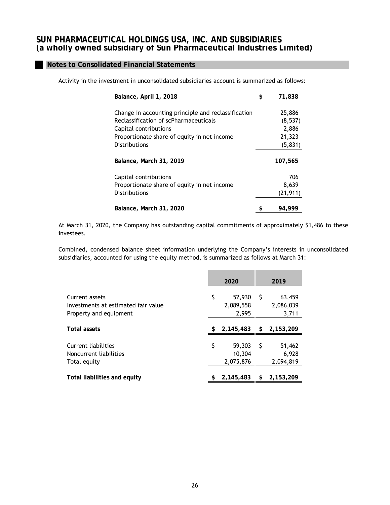Activity in the investment in unconsolidated subsidiaries account is summarized as follows:

| Balance, April 1, 2018                              | \$ | 71,838    |
|-----------------------------------------------------|----|-----------|
| Change in accounting principle and reclassification |    | 25,886    |
| Reclassification of scPharmaceuticals               |    | (8,537)   |
| Capital contributions                               |    | 2,886     |
| Proportionate share of equity in net income         |    | 21,323    |
| <b>Distributions</b>                                |    | (5, 831)  |
| Balance, March 31, 2019                             |    | 107,565   |
| Capital contributions                               |    | 706       |
| Proportionate share of equity in net income         |    | 8,639     |
| <b>Distributions</b>                                |    | (21, 911) |
| Balance, March 31, 2020                             | S  | 94.999    |

At March 31, 2020, the Company has outstanding capital commitments of approximately \$1,486 to these investees.

Combined, condensed balance sheet information underlying the Company's interests in unconsolidated subsidiaries, accounted for using the equity method, is summarized as follows at March 31:

|                                                                                 | 2020 |                               |    | 2019                         |
|---------------------------------------------------------------------------------|------|-------------------------------|----|------------------------------|
| Current assets<br>Investments at estimated fair value<br>Property and equipment | \$   | 52,930<br>2,089,558<br>2,995  | S  | 63,459<br>2,086,039<br>3,711 |
| <b>Total assets</b>                                                             | \$   | 2,145,483                     | \$ | 2,153,209                    |
| Current liabilities<br>Noncurrent liabilities<br>Total equity                   | \$   | 59,303<br>10.304<br>2,075,876 | S  | 51,462<br>6,928<br>2,094,819 |
| Total liabilities and equity                                                    |      | 2,145,483                     |    | 2,153,209                    |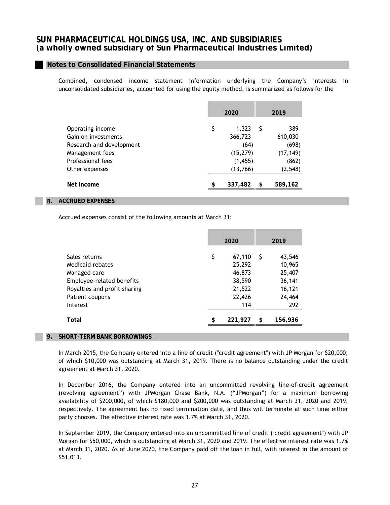## **Notes to Consolidated Financial Statements**

Combined, condensed income statement information underlying the Company's interests in unconsolidated subsidiaries, accounted for using the equity method, is summarized as follows for the

|                          | 2020          | 2019          |
|--------------------------|---------------|---------------|
| Operating income         | \$<br>1,323   | 389           |
| Gain on investments      | 366,723       | 610,030       |
| Research and development | (64)          | (698)         |
| Management fees          | (15, 279)     | (17, 149)     |
| Professional fees        | (1, 455)      | (862)         |
| Other expenses           | (13,766)      | (2, 548)      |
| Net income               | \$<br>337,482 | \$<br>589,162 |

#### **8. ACCRUED EXPENSES**

Accrued expenses consist of the following amounts at March 31:

|                                  | 2020 |                  |    | 2019             |
|----------------------------------|------|------------------|----|------------------|
| Sales returns                    | \$   | 67,110           | -S | 43,546           |
| Medicaid rebates<br>Managed care |      | 25,292<br>46,873 |    | 10,965<br>25,407 |
| Employee-related benefits        |      | 38,590           |    | 36,141           |
| Royalties and profit sharing     |      | 21,522           |    | 16,121           |
| Patient coupons                  |      | 22,426           |    | 24,464           |
| Interest                         |      | 114              |    | 292              |
| Total                            | \$   | 221,927          | S  | 156,936          |
|                                  |      |                  |    |                  |

#### **9. SHORT-TERM BANK BORROWINGS**

In March 2015, the Company entered into a line of credit ("credit agreement") with JP Morgan for \$20,000, of which \$10,000 was outstanding at March 31, 2019. There is no balance outstanding under the credit agreement at March 31, 2020.

In December 2016, the Company entered into an uncommitted revolving line-of-credit agreement (revolving agreement") with JPMorgan Chase Bank, N.A. ("JPMorgan") for a maximum borrowing availability of \$200,000, of which \$180,000 and \$200,000 was outstanding at March 31, 2020 and 2019, respectively. The agreement has no fixed termination date, and thus will terminate at such time either party chooses. The effective interest rate was 1.7% at March 31, 2020.

In September 2019, the Company entered into an uncommitted line of credit ("credit agreement") with JP Morgan for \$50,000, which is outstanding at March 31, 2020 and 2019. The effective interest rate was 1.7% at March 31, 2020. As of June 2020, the Company paid off the loan in full, with interest in the amount of \$51,013.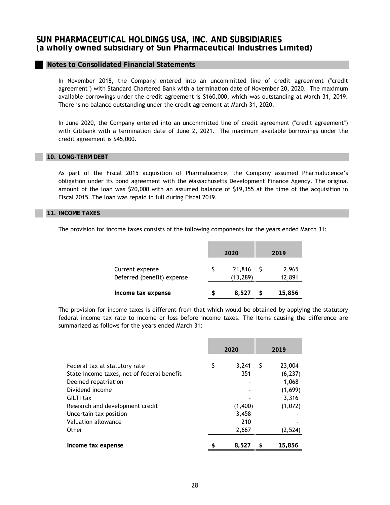In November 2018, the Company entered into an uncommitted line of credit agreement ("credit agreement") with Standard Chartered Bank with a termination date of November 20, 2020. The maximum available borrowings under the credit agreement is \$160,000, which was outstanding at March 31, 2019. There is no balance outstanding under the credit agreement at March 31, 2020.

In June 2020, the Company entered into an uncommitted line of credit agreement ("credit agreement") with Citibank with a termination date of June 2, 2021. The maximum available borrowings under the credit agreement is \$45,000.

#### **10. LONG-TERM DEBT**

As part of the Fiscal 2015 acquisition of Pharmalucence, the Company assumed Pharmalucence's obligation under its bond agreement with the Massachusetts Development Finance Agency. The original amount of the loan was \$20,000 with an assumed balance of \$19,355 at the time of the acquisition in Fiscal 2015. The loan was repaid in full during Fiscal 2019.

#### **11. INCOME TAXES**

The provision for income taxes consists of the following components for the years ended March 31:

|                                               |   | 2020               | 2019            |
|-----------------------------------------------|---|--------------------|-----------------|
| Current expense<br>Deferred (benefit) expense |   | 21,816<br>(13,289) | 2,965<br>12,891 |
| Income tax expense                            | S | 8,527              | 15,856          |

The provision for income taxes is different from that which would be obtained by applying the statutory federal income tax rate to income or loss before income taxes. The items causing the difference are summarized as follows for the years ended March 31:

|                                                                             | 2020 |              |    | 2019               |
|-----------------------------------------------------------------------------|------|--------------|----|--------------------|
| Federal tax at statutory rate<br>State income taxes, net of federal benefit | \$   | 3.241<br>351 | S  | 23,004<br>(6, 237) |
| Deemed repatriation                                                         |      |              |    | 1,068              |
| Dividend income                                                             |      |              |    | (1,699)            |
| GILTI tax                                                                   |      |              |    | 3.316              |
| Research and development credit                                             |      | (1,400)      |    | (1,072)            |
| Uncertain tax position                                                      |      | 3,458        |    |                    |
| Valuation allowance                                                         |      | 210          |    |                    |
| Other                                                                       |      | 2,667        |    | (2,524)            |
| Income tax expense                                                          | \$   | 8,527        | \$ | 15,856             |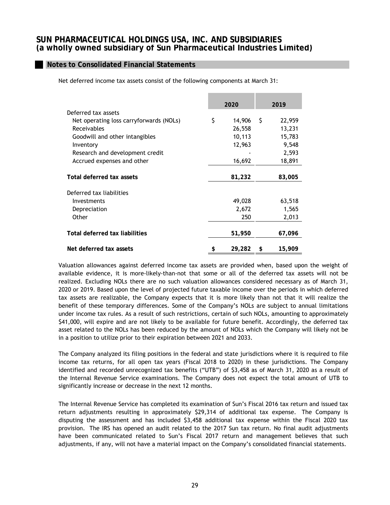# **Notes to Consolidated Financial Statements**

Net deferred income tax assets consist of the following components at March 31:

|                                         | 2020         |      | 2019   |
|-----------------------------------------|--------------|------|--------|
| Deferred tax assets                     |              |      |        |
| Net operating loss carryforwards (NOLs) | \$<br>14,906 | - \$ | 22,959 |
| Receivables                             | 26,558       |      | 13,231 |
| Goodwill and other intangibles          | 10,113       |      | 15,783 |
| Inventory                               | 12,963       |      | 9,548  |
| Research and development credit         |              |      | 2,593  |
| Accrued expenses and other              | 16,692       |      | 18,891 |
|                                         |              |      |        |
| Total deferred tax assets               | 81,232       |      | 83,005 |
| Deferred tax liabilities                |              |      |        |
| Investments                             | 49,028       |      | 63,518 |
| Depreciation                            | 2,672        |      | 1,565  |
| Other                                   | 250          |      | 2,013  |
|                                         |              |      |        |
| Total deferred tax liabilities          | 51,950       |      | 67,096 |
| Net deferred tax assets                 | \$<br>29,282 | \$   | 15,909 |

Valuation allowances against deferred income tax assets are provided when, based upon the weight of available evidence, it is more-likely-than-not that some or all of the deferred tax assets will not be realized. Excluding NOLs there are no such valuation allowances considered necessary as of March 31, 2020 or 2019. Based upon the level of projected future taxable income over the periods in which deferred tax assets are realizable, the Company expects that it is more likely than not that it will realize the benefit of these temporary differences. Some of the Company's NOLs are subject to annual limitations under income tax rules. As a result of such restrictions, certain of such NOLs, amounting to approximately \$41,000, will expire and are not likely to be available for future benefit. Accordingly, the deferred tax asset related to the NOLs has been reduced by the amount of NOLs which the Company will likely not be in a position to utilize prior to their expiration between 2021 and 2033.

The Company analyzed its filing positions in the federal and state jurisdictions where it is required to file income tax returns, for all open tax years (Fiscal 2018 to 2020) in these jurisdictions. The Company identified and recorded unrecognized tax benefits ("UTB") of \$3,458 as of March 31, 2020 as a result of the Internal Revenue Service examinations. The Company does not expect the total amount of UTB to significantly increase or decrease in the next 12 months.

The Internal Revenue Service has completed its examination of Sun's Fiscal 2016 tax return and issued tax return adjustments resulting in approximately \$29,314 of additional tax expense. The Company is disputing the assessment and has included \$3,458 additional tax expense within the Fiscal 2020 tax provision. The IRS has opened an audit related to the 2017 Sun tax return. No final audit adjustments have been communicated related to Sun's Fiscal 2017 return and management believes that such adjustments, if any, will not have a material impact on the Company's consolidated financial statements.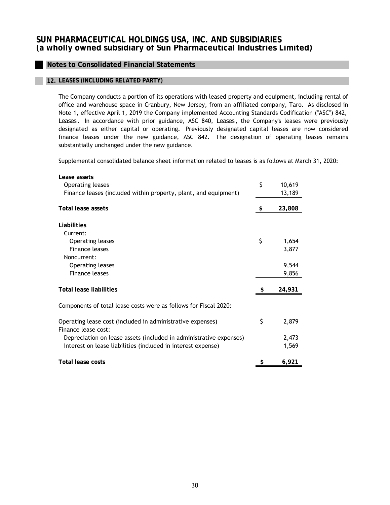# **Notes to Consolidated Financial Statements**

## **12. LEASES (INCLUDING RELATED PARTY)**

The Company conducts a portion of its operations with leased property and equipment, including rental of office and warehouse space in Cranbury, New Jersey, from an affiliated company, Taro. As disclosed in Note 1, effective April 1, 2019 the Company implemented Accounting Standards Codification ("ASC") 842, *Leases* . In accordance with prior guidance, ASC 840, *Leases* , the Company's leases were previously designated as either capital or operating. Previously designated capital leases are now considered finance leases under the new guidance, ASC 842. The designation of operating leases remains substantially unchanged under the new guidance.

Supplemental consolidated balance sheet information related to leases is as follows at March 31, 2020:

| Lease assets                                                                      |    |        |
|-----------------------------------------------------------------------------------|----|--------|
| Operating leases                                                                  | \$ | 10,619 |
| Finance leases (included within property, plant, and equipment)                   |    | 13,189 |
| <b>Total lease assets</b>                                                         |    | 23,808 |
| Liabilities                                                                       |    |        |
| Current:                                                                          |    |        |
| Operating leases                                                                  | \$ | 1,654  |
| Finance leases                                                                    |    | 3,877  |
| Noncurrent:                                                                       |    |        |
| Operating leases                                                                  |    | 9,544  |
| Finance leases                                                                    |    | 9,856  |
| <b>Total lease liabilities</b>                                                    | S  | 24,931 |
| Components of total lease costs were as follows for Fiscal 2020:                  |    |        |
| Operating lease cost (included in administrative expenses)<br>Finance lease cost: | \$ | 2,879  |
| Depreciation on lease assets (included in administrative expenses)                |    | 2,473  |
| Interest on lease liabilities (included in interest expense)                      |    | 1,569  |
| <b>Total lease costs</b>                                                          | \$ | 6,921  |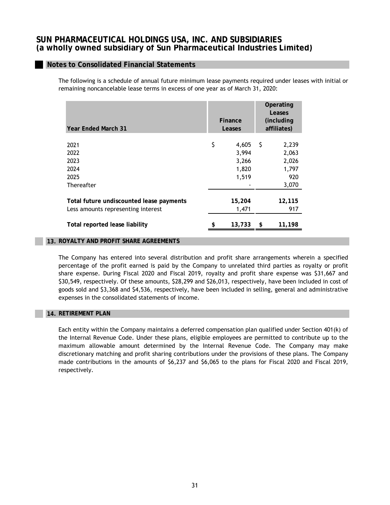## **Notes to Consolidated Financial Statements**

The following is a schedule of annual future minimum lease payments required under leases with initial or remaining noncancelable lease terms in excess of one year as of March 31, 2020:

| <b>Year Ended March 31</b>                                                                                       | Finance<br>Leases                               |     | Operating<br>Leases<br>(including)<br>affiliates) |
|------------------------------------------------------------------------------------------------------------------|-------------------------------------------------|-----|---------------------------------------------------|
| 2021<br>2022<br>2023<br>2024<br>2025<br>Thereafter                                                               | \$<br>4,605<br>3,994<br>3,266<br>1,820<br>1,519 | - S | 2,239<br>2,063<br>2,026<br>1,797<br>920<br>3,070  |
| Total future undiscounted lease payments<br>Less amounts representing interest<br>Total reported lease liability | 15,204<br>1,471<br>13,733                       | \$  | 12,115<br>917<br>11,198                           |

#### **13. ROYALTY AND PROFIT SHARE AGREEMENTS**

The Company has entered into several distribution and profit share arrangements wherein a specified percentage of the profit earned is paid by the Company to unrelated third parties as royalty or profit share expense. During Fiscal 2020 and Fiscal 2019, royalty and profit share expense was \$31,667 and \$30,549, respectively. Of these amounts, \$28,299 and \$26,013, respectively, have been included in cost of goods sold and \$3,368 and \$4,536, respectively, have been included in selling, general and administrative expenses in the consolidated statements of income.

## **14. RETIREMENT PLAN**

Each entity within the Company maintains a deferred compensation plan qualified under Section 401(k) of the Internal Revenue Code. Under these plans, eligible employees are permitted to contribute up to the maximum allowable amount determined by the Internal Revenue Code. The Company may make discretionary matching and profit sharing contributions under the provisions of these plans. The Company made contributions in the amounts of \$6,237 and \$6,065 to the plans for Fiscal 2020 and Fiscal 2019, respectively.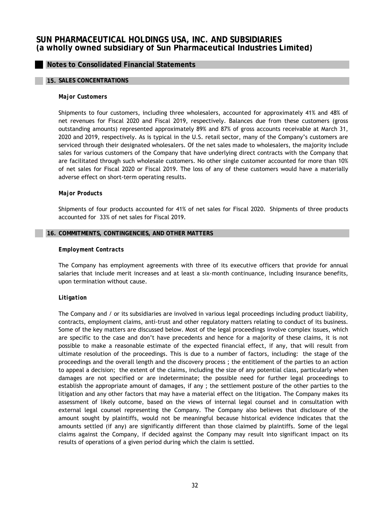## **Notes to Consolidated Financial Statements**

#### **15. SALES CONCENTRATIONS**

#### *Major Customers*

Shipments to four customers, including three wholesalers, accounted for approximately 41% and 48% of net revenues for Fiscal 2020 and Fiscal 2019, respectively. Balances due from these customers (gross outstanding amounts) represented approximately 89% and 87% of gross accounts receivable at March 31, 2020 and 2019, respectively. As is typical in the U.S. retail sector, many of the Company's customers are serviced through their designated wholesalers. Of the net sales made to wholesalers, the majority include sales for various customers of the Company that have underlying direct contracts with the Company that are facilitated through such wholesale customers. No other single customer accounted for more than 10% of net sales for Fiscal 2020 or Fiscal 2019. The loss of any of these customers would have a materially adverse effect on short-term operating results.

#### *Major Products*

Shipments of four products accounted for 41% of net sales for Fiscal 2020. Shipments of three products accounted for 33% of net sales for Fiscal 2019.

#### **16. COMMITMENTS, CONTINGENCIES, AND OTHER MATTERS**

#### *Employment Contracts*

The Company has employment agreements with three of its executive officers that provide for annual salaries that include merit increases and at least a six-month continuance, including insurance benefits, upon termination without cause.

## *Litigation*

The Company and / or its subsidiaries are involved in various legal proceedings including product liability, contracts, employment claims, anti-trust and other regulatory matters relating to conduct of its business. Some of the key matters are discussed below. Most of the legal proceedings involve complex issues, which are specific to the case and don't have precedents and hence for a majority of these claims, it is not possible to make a reasonable estimate of the expected financial effect, if any, that will result from ultimate resolution of the proceedings. This is due to a number of factors, including: the stage of the proceedings and the overall length and the discovery process ; the entitlement of the parties to an action to appeal a decision; the extent of the claims, including the size of any potential class, particularly when damages are not specified or are indeterminate; the possible need for further legal proceedings to establish the appropriate amount of damages, if any ; the settlement posture of the other parties to the litigation and any other factors that may have a material effect on the litigation. The Company makes its assessment of likely outcome, based on the views of internal legal counsel and in consultation with external legal counsel representing the Company. The Company also believes that disclosure of the amount sought by plaintiffs, would not be meaningful because historical evidence indicates that the amounts settled (if any) are significantly different than those claimed by plaintiffs. Some of the legal claims against the Company, if decided against the Company may result into significant impact on its results of operations of a given period during which the claim is settled.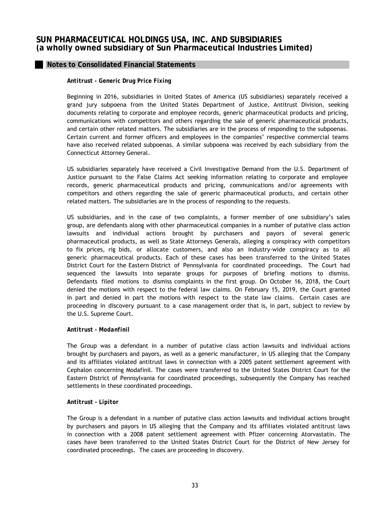## *Antitrust - Generic Drug Price Fixing*

Beginning in 2016, subsidiaries in United States of America (US subsidiaries) separately received a grand jury subpoena from the United States Department of Justice, Antitrust Division, seeking documents relating to corporate and employee records, generic pharmaceutical products and pricing, communications with competitors and others regarding the sale of generic pharmaceutical products, and certain other related matters. The subsidiaries are in the process of responding to the subpoenas. Certain current and former officers and employees in the companies' respective commercial teams have also received related subpoenas. A similar subpoena was received by each subsidiary from the Connecticut Attorney General.

US subsidiaries separately have received a Civil Investigative Demand from the U.S. Department of Justice pursuant to the False Claims Act seeking information relating to corporate and employee records, generic pharmaceutical products and pricing, communications and/or agreements with competitors and others regarding the sale of generic pharmaceutical products, and certain other related matters. The subsidiaries are in the process of responding to the requests.

US subsidiaries, and in the case of two complaints, a former member of one subsidiary's sales group, are defendants along with other pharmaceutical companies in a number of putative class action lawsuits and individual actions brought by purchasers and payors of several generic pharmaceutical products, as well as State Attorneys Generals, alleging a conspiracy with competitors to fix prices, rig bids, or allocate customers, and also an industry-wide conspiracy as to all generic pharmaceutical products. Each of these cases has been transferred to the United States District Court for the Eastern District of Pennsylvania for coordinated proceedings. The Court had sequenced the lawsuits into separate groups for purposes of briefing motions to dismiss. Defendants filed motions to dismiss complaints in the first group. On October 16, 2018, the Court denied the motions with respect to the federal law claims. On February 15, 2019, the Court granted in part and denied in part the motions with respect to the state law claims. Certain cases are proceeding in discovery pursuant to a case management order that is, in part, subject to review by the U.S. Supreme Court.

## *Antitrust - Modanfinil*

The Group was a defendant in a number of putative class action lawsuits and individual actions brought by purchasers and payors, as well as a generic manufacturer, in US alleging that the Company and its affiliates violated antitrust laws in connection with a 2005 patent settlement agreement with Cephalon concerning Modafinil. The cases were transferred to the United States District Court for the Eastern District of Pennsylvania for coordinated proceedings, subsequently the Company has reached settlements in these coordinated proceedings.

## *Antitrust - Lipitor*

The Group is a defendant in a number of putative class action lawsuits and individual actions brought by purchasers and payors in US alleging that the Company and its affiliates violated antitrust laws in connection with a 2008 patent settlement agreement with Pfizer concerning Atorvastatin. The cases have been transferred to the United States District Court for the District of New Jersey for coordinated proceedings. The cases are proceeding in discovery.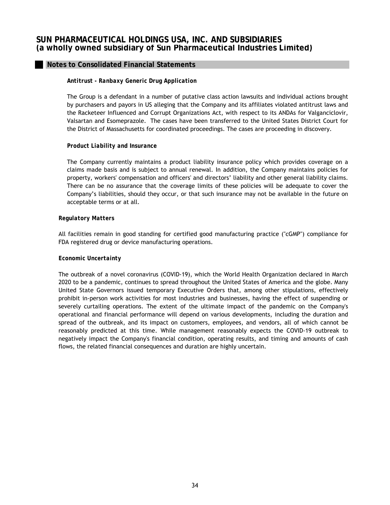## *Antitrust - Ranbaxy Generic Drug Application*

The Group is a defendant in a number of putative class action lawsuits and individual actions brought by purchasers and payors in US alleging that the Company and its affiliates violated antitrust laws and the Racketeer Influenced and Corrupt Organizations Act, with respect to its ANDAs for Valganciclovir, Valsartan and Esomeprazole. The cases have been transferred to the United States District Court for the District of Massachusetts for coordinated proceedings. The cases are proceeding in discovery.

#### *Product Liability and Insurance*

The Company currently maintains a product liability insurance policy which provides coverage on a claims made basis and is subject to annual renewal. In addition, the Company maintains policies for property, workers' compensation and officers' and directors' liability and other general liability claims. There can be no assurance that the coverage limits of these policies will be adequate to cover the Company's liabilities, should they occur, or that such insurance may not be available in the future on acceptable terms or at all.

#### *Regulatory Matters*

All facilities remain in good standing for certified good manufacturing practice ("cGMP") compliance for FDA registered drug or device manufacturing operations.

#### *Economic Uncertainty*

The outbreak of a novel coronavirus (COVID-19), which the World Health Organization declared in March 2020 to be a pandemic, continues to spread throughout the United States of America and the globe. Many United State Governors issued temporary Executive Orders that, among other stipulations, effectively prohibit in-person work activities for most industries and businesses, having the effect of suspending or severely curtailing operations. The extent of the ultimate impact of the pandemic on the Company's operational and financial performance will depend on various developments, including the duration and spread of the outbreak, and its impact on customers, employees, and vendors, all of which cannot be reasonably predicted at this time. While management reasonably expects the COVID-19 outbreak to negatively impact the Company's financial condition, operating results, and timing and amounts of cash flows, the related financial consequences and duration are highly uncertain.